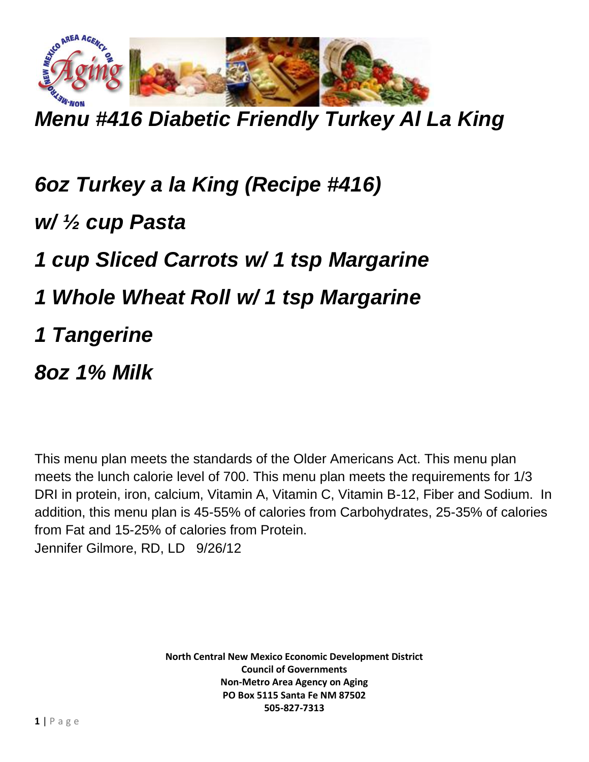

*Menu #416 Diabetic Friendly Turkey Al La King*

*6oz Turkey a la King (Recipe #416) w/ ½ cup Pasta 1 cup Sliced Carrots w/ 1 tsp Margarine 1 Whole Wheat Roll w/ 1 tsp Margarine 1 Tangerine 8oz 1% Milk*

This menu plan meets the standards of the Older Americans Act. This menu plan meets the lunch calorie level of 700. This menu plan meets the requirements for 1/3 DRI in protein, iron, calcium, Vitamin A, Vitamin C, Vitamin B-12, Fiber and Sodium. In addition, this menu plan is 45-55% of calories from Carbohydrates, 25-35% of calories from Fat and 15-25% of calories from Protein. Jennifer Gilmore, RD, LD 9/26/12

> **North Central New Mexico Economic Development District Council of Governments Non-Metro Area Agency on Aging PO Box 5115 Santa Fe NM 87502 505-827-7313**